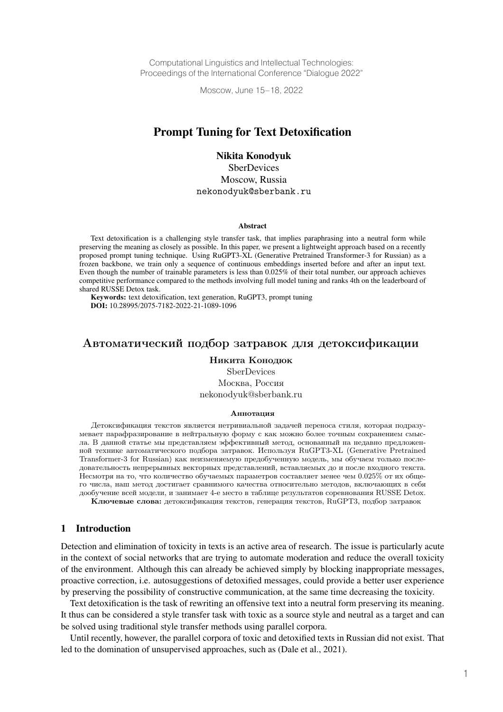Computational Linguistics and Intellectual Technologies: Proceedings of the International Conference "Dialogue 2022"

Moscow, June 15–18, 2022

# Prompt Tuning for Text Detoxification

Nikita Konodyuk

**SberDevices** Moscow, Russia nekonodyuk@sberbank.ru

#### **Abstract**

Text detoxification is a challenging style transfer task, that implies paraphrasing into a neutral form while preserving the meaning as closely as possible. In this paper, we present a lightweight approach based on a recently proposed prompt tuning technique. Using RuGPT3-XL (Generative Pretrained Transformer-3 for Russian) as a frozen backbone, we train only a sequence of continuous embeddings inserted before and after an input text. Even though the number of trainable parameters is less than 0.025% of their total number, our approach achieves competitive performance compared to the methods involving full model tuning and ranks 4th on the leaderboard of shared RUSSE Detox task.

Keywords: text detoxification, text generation, RuGPT3, prompt tuning DOI: 10.28995/2075-7182-2022-21-1089-1096

# Автоматический подбор затравок для детоксификации

#### Никита Конодюк **SberDevices**

Москва, Россия nekonodyuk@sberbank.ru

#### Аннотация

Детоксификация текстов является нетривиальной задачей переноса стиля, которая подразумевает парафразирование в нейтральную форму с как можно более точным сохранением смысла. В данной статье мы представляем эффективный метод, основанный на недавно предложенной технике автоматического подбора затравок. Используя RuGPT3-XL (Generative Pretrained Transformer-3 for Russian) как неизменяемую предобученную модель, мы обучаем только последовательность непрерывных векторных представлений, вставляемых до и после входного текста. Несмотря на то, что количество обучаемых параметров составляет менее чем 0.025% от их общего числа, наш метод достигает сравнимого качества относительно методов, включающих в себя дообучение всей модели, и занимает 4-е место в таблице результатов соревнования RUSSE Detox.

Ключевые слова: детоксификация текстов, генерация текстов, RuGPT3, подбор затравок

#### 1 Introduction

Detection and elimination of toxicity in texts is an active area of research. The issue is particularly acute in the context of social networks that are trying to automate moderation and reduce the overall toxicity of the environment. Although this can already be achieved simply by blocking inappropriate messages, proactive correction, i.e. autosuggestions of detoxified messages, could provide a better user experience by preserving the possibility of constructive communication, at the same time decreasing the toxicity.

Text detoxification is the task of rewriting an offensive text into a neutral form preserving its meaning. It thus can be considered a style transfer task with toxic as a source style and neutral as a target and can be solved using traditional style transfer methods using parallel corpora.

Until recently, however, the parallel corpora of toxic and detoxified texts in Russian did not exist. That led to the domination of unsupervised approaches, such as (Dale et al., 2021).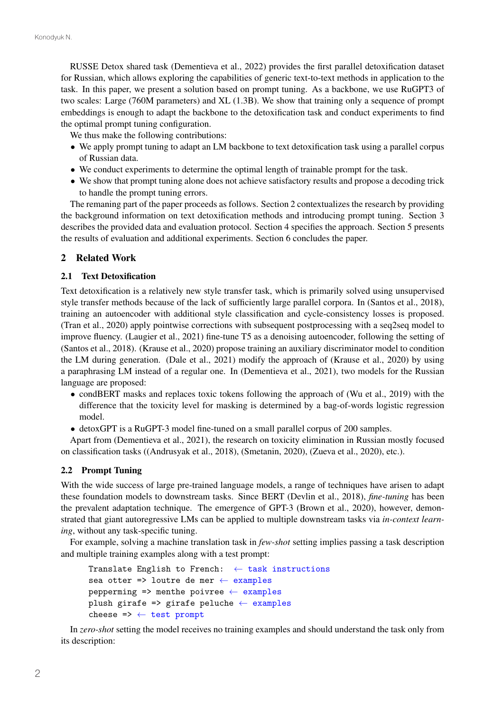RUSSE Detox shared task (Dementieva et al., 2022) provides the first parallel detoxification dataset for Russian, which allows exploring the capabilities of generic text-to-text methods in application to the task. In this paper, we present a solution based on prompt tuning. As a backbone, we use RuGPT3 of two scales: Large (760M parameters) and XL (1.3B). We show that training only a sequence of prompt embeddings is enough to adapt the backbone to the detoxification task and conduct experiments to find the optimal prompt tuning configuration.

We thus make the following contributions:

- ∙ We apply prompt tuning to adapt an LM backbone to text detoxification task using a parallel corpus of Russian data.
- ∙ We conduct experiments to determine the optimal length of trainable prompt for the task.
- ∙ We show that prompt tuning alone does not achieve satisfactory results and propose a decoding trick to handle the prompt tuning errors.

The remaning part of the paper proceeds as follows. Section 2 contextualizes the research by providing the background information on text detoxification methods and introducing prompt tuning. Section 3 describes the provided data and evaluation protocol. Section 4 specifies the approach. Section 5 presents the results of evaluation and additional experiments. Section 6 concludes the paper.

# 2 Related Work

## 2.1 Text Detoxification

Text detoxification is a relatively new style transfer task, which is primarily solved using unsupervised style transfer methods because of the lack of sufficiently large parallel corpora. In (Santos et al., 2018), training an autoencoder with additional style classification and cycle-consistency losses is proposed. (Tran et al., 2020) apply pointwise corrections with subsequent postprocessing with a seq2seq model to improve fluency. (Laugier et al., 2021) fine-tune T5 as a denoising autoencoder, following the setting of (Santos et al., 2018). (Krause et al., 2020) propose training an auxiliary discriminator model to condition the LM during generation. (Dale et al., 2021) modify the approach of (Krause et al., 2020) by using a paraphrasing LM instead of a regular one. In (Dementieva et al., 2021), two models for the Russian language are proposed:

- ∙ condBERT masks and replaces toxic tokens following the approach of (Wu et al., 2019) with the difference that the toxicity level for masking is determined by a bag-of-words logistic regression model.
- ∙ detoxGPT is a RuGPT-3 model fine-tuned on a small parallel corpus of 200 samples.

Apart from (Dementieva et al., 2021), the research on toxicity elimination in Russian mostly focused on classification tasks ((Andrusyak et al., 2018), (Smetanin, 2020), (Zueva et al., 2020), etc.).

## 2.2 Prompt Tuning

With the wide success of large pre-trained language models, a range of techniques have arisen to adapt these foundation models to downstream tasks. Since BERT (Devlin et al., 2018), *fine-tuning* has been the prevalent adaptation technique. The emergence of GPT-3 (Brown et al., 2020), however, demonstrated that giant autoregressive LMs can be applied to multiple downstream tasks via *in-context learning*, without any task-specific tuning.

For example, solving a machine translation task in *few-shot* setting implies passing a task description and multiple training examples along with a test prompt:

```
Translate English to French: \leftarrow task instructions
sea otter => loutre de mer \leftarrow examples
pepperming \Rightarrow menthe poivree \leftarrow examples
plush girafe => girafe peluche ← examples
cheese => \leftarrow test prompt
```
In *zero-shot* setting the model receives no training examples and should understand the task only from its description: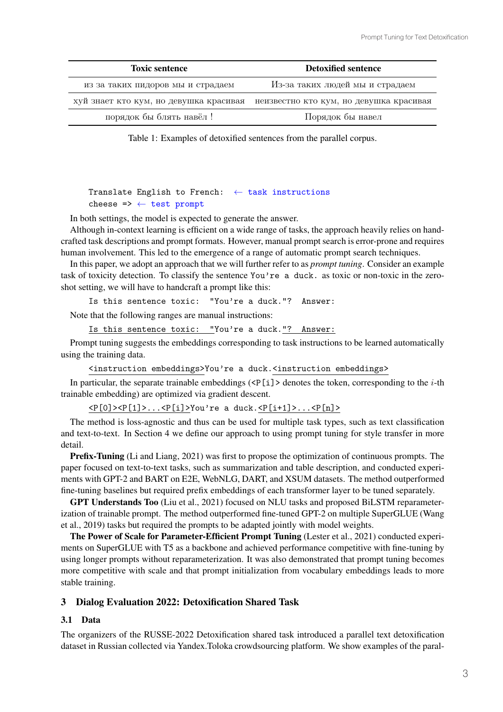| <b>Toxic sentence</b>                  | <b>Detoxified sentence</b>              |  |  |
|----------------------------------------|-----------------------------------------|--|--|
| из за таких пидоров мы и страдаем      | Из-за таких людей мы и страдаем         |  |  |
| хуй знает кто кум, но девушка красивая | неизвестно кто кум, но девушка красивая |  |  |
| порядок бы блять навёл !               | Порядок бы навел                        |  |  |

Table 1: Examples of detoxified sentences from the parallel corpus.

# Translate English to French:  $\leftarrow$  task instructions cheese  $\Rightarrow$   $\leftarrow$  test prompt

In both settings, the model is expected to generate the answer.

Although in-context learning is efficient on a wide range of tasks, the approach heavily relies on handcrafted task descriptions and prompt formats. However, manual prompt search is error-prone and requires human involvement. This led to the emergence of a range of automatic prompt search techniques.

In this paper, we adopt an approach that we will further refer to as *prompt tuning*. Consider an example task of toxicity detection. To classify the sentence You're a duck. as toxic or non-toxic in the zeroshot setting, we will have to handcraft a prompt like this:

Is this sentence toxic: "You're a duck."? Answer:

Note that the following ranges are manual instructions:

Is this sentence toxic: "You're a duck."? Answer:

Prompt tuning suggests the embeddings corresponding to task instructions to be learned automatically using the training data.

<instruction embeddings>You're a duck.<instruction embeddings>

In particular, the separate trainable embeddings  $\langle \langle P[i] \rangle$  denotes the token, corresponding to the *i*-th trainable embedding) are optimized via gradient descent.

 $\langle P[0]\rangle \langle P[1]\rangle \dots \langle P[i]\rangle$ You're a duck. $\langle P[i+1]\rangle \dots \langle P[n]\rangle$ 

The method is loss-agnostic and thus can be used for multiple task types, such as text classification and text-to-text. In Section 4 we define our approach to using prompt tuning for style transfer in more detail.

Prefix-Tuning (Li and Liang, 2021) was first to propose the optimization of continuous prompts. The paper focused on text-to-text tasks, such as summarization and table description, and conducted experiments with GPT-2 and BART on E2E, WebNLG, DART, and XSUM datasets. The method outperformed fine-tuning baselines but required prefix embeddings of each transformer layer to be tuned separately.

GPT Understands Too (Liu et al., 2021) focused on NLU tasks and proposed BiLSTM reparameterization of trainable prompt. The method outperformed fine-tuned GPT-2 on multiple SuperGLUE (Wang et al., 2019) tasks but required the prompts to be adapted jointly with model weights.

The Power of Scale for Parameter-Efficient Prompt Tuning (Lester et al., 2021) conducted experiments on SuperGLUE with T5 as a backbone and achieved performance competitive with fine-tuning by using longer prompts without reparameterization. It was also demonstrated that prompt tuning becomes more competitive with scale and that prompt initialization from vocabulary embeddings leads to more stable training.

# 3 Dialog Evaluation 2022: Detoxification Shared Task

## 3.1 Data

The organizers of the RUSSE-2022 Detoxification shared task introduced a parallel text detoxification dataset in Russian collected via Yandex.Toloka crowdsourcing platform. We show examples of the paral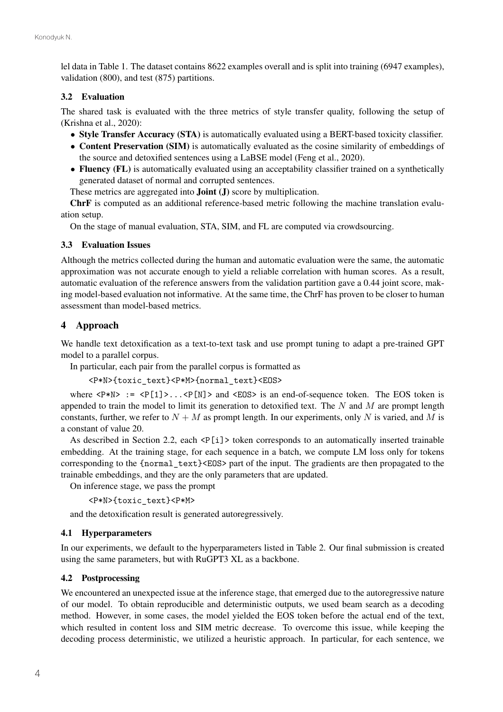lel data in Table 1. The dataset contains 8622 examples overall and is split into training (6947 examples), validation (800), and test (875) partitions.

## 3.2 Evaluation

The shared task is evaluated with the three metrics of style transfer quality, following the setup of (Krishna et al., 2020):

- ∙ Style Transfer Accuracy (STA) is automatically evaluated using a BERT-based toxicity classifier.
- ∙ Content Preservation (SIM) is automatically evaluated as the cosine similarity of embeddings of the source and detoxified sentences using a LaBSE model (Feng et al., 2020).
- ∙ Fluency (FL) is automatically evaluated using an acceptability classifier trained on a synthetically generated dataset of normal and corrupted sentences.

These metrics are aggregated into **Joint** (**J**) score by multiplication.

ChrF is computed as an additional reference-based metric following the machine translation evaluation setup.

On the stage of manual evaluation, STA, SIM, and FL are computed via crowdsourcing.

## 3.3 Evaluation Issues

Although the metrics collected during the human and automatic evaluation were the same, the automatic approximation was not accurate enough to yield a reliable correlation with human scores. As a result, automatic evaluation of the reference answers from the validation partition gave a 0.44 joint score, making model-based evaluation not informative. At the same time, the ChrF has proven to be closer to human assessment than model-based metrics.

# 4 Approach

We handle text detoxification as a text-to-text task and use prompt tuning to adapt a pre-trained GPT model to a parallel corpus.

In particular, each pair from the parallel corpus is formatted as

<P\*N>{toxic\_text}<P\*M>{normal\_text}<EOS>

where  $\langle P*N \rangle$  :=  $\langle P[1] \rangle$ ... $\langle P[N] \rangle$  and  $\langle EOS \rangle$  is an end-of-sequence token. The EOS token is appended to train the model to limit its generation to detoxified text. The  $N$  and  $M$  are prompt length constants, further, we refer to  $N + M$  as prompt length. In our experiments, only N is varied, and M is a constant of value 20.

As described in Section 2.2, each  $\leq P[i]$  token corresponds to an automatically inserted trainable embedding. At the training stage, for each sequence in a batch, we compute LM loss only for tokens corresponding to the {normal\_text}<EOS> part of the input. The gradients are then propagated to the trainable embeddings, and they are the only parameters that are updated.

On inference stage, we pass the prompt

```
<P*N>{toxic_text}<P*M>
```
and the detoxification result is generated autoregressively.

## 4.1 Hyperparameters

In our experiments, we default to the hyperparameters listed in Table 2. Our final submission is created using the same parameters, but with RuGPT3 XL as a backbone.

## 4.2 Postprocessing

We encountered an unexpected issue at the inference stage, that emerged due to the autoregressive nature of our model. To obtain reproducible and deterministic outputs, we used beam search as a decoding method. However, in some cases, the model yielded the EOS token before the actual end of the text, which resulted in content loss and SIM metric decrease. To overcome this issue, while keeping the decoding process deterministic, we utilized a heuristic approach. In particular, for each sentence, we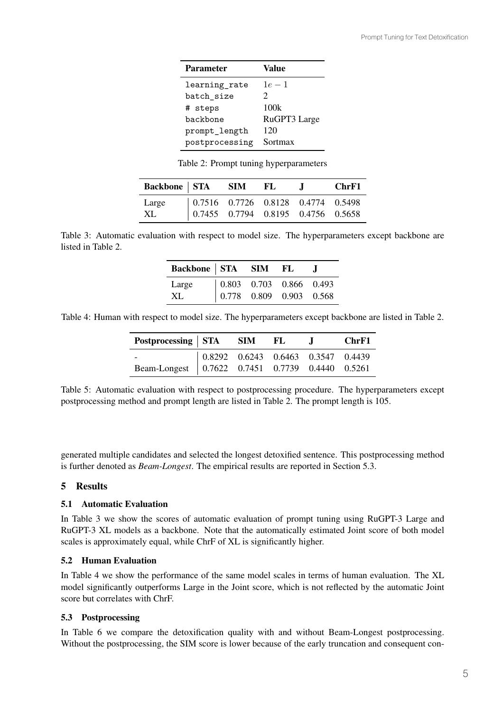| Value                 |
|-----------------------|
| $1e-1$                |
| $\mathcal{D}_{\cdot}$ |
| 100k                  |
| RuGPT3 Large          |
| 120                   |
| Sortmax               |
|                       |

Table 2: Prompt tuning hyperparameters

| Backbone   STA SIM |  | -FL | $\mathbf{I}$ | ChrF1                                                                                                                         |
|--------------------|--|-----|--------------|-------------------------------------------------------------------------------------------------------------------------------|
| Large              |  |     |              | $\begin{array}{ cccccc} 0.7516 & 0.7726 & 0.8128 & 0.4774 & 0.5498 \\ 0.7455 & 0.7794 & 0.8195 & 0.4756 & 0.5658 \end{array}$ |
| XL                 |  |     |              |                                                                                                                               |

Table 3: Automatic evaluation with respect to model size. The hyperparameters except backbone are listed in Table 2.

| Backbone STA SIM FL |                                                                                                  | <b>Contract</b> |
|---------------------|--------------------------------------------------------------------------------------------------|-----------------|
| Large               | $\begin{array}{ ccc} 0.803 & 0.703 & 0.866 & 0.493 \\ 0.778 & 0.809 & 0.903 & 0.568 \end{array}$ |                 |
| XL                  |                                                                                                  |                 |

Table 4: Human with respect to model size. The hyperparameters except backbone are listed in Table 2.

| Postprocessing   STA SIM FL                                                                        |  |  | ChrF1 |
|----------------------------------------------------------------------------------------------------|--|--|-------|
| Beam-Longest 0.8292 0.6243 0.6463 0.3547 0.4439<br>Beam-Longest 0.7622 0.7451 0.7739 0.4440 0.5261 |  |  |       |
|                                                                                                    |  |  |       |

Table 5: Automatic evaluation with respect to postprocessing procedure. The hyperparameters except postprocessing method and prompt length are listed in Table 2. The prompt length is 105.

generated multiple candidates and selected the longest detoxified sentence. This postprocessing method is further denoted as *Beam-Longest*. The empirical results are reported in Section 5.3.

# 5 Results

## 5.1 Automatic Evaluation

In Table 3 we show the scores of automatic evaluation of prompt tuning using RuGPT-3 Large and RuGPT-3 XL models as a backbone. Note that the automatically estimated Joint score of both model scales is approximately equal, while ChrF of XL is significantly higher.

# 5.2 Human Evaluation

In Table 4 we show the performance of the same model scales in terms of human evaluation. The XL model significantly outperforms Large in the Joint score, which is not reflected by the automatic Joint score but correlates with ChrF.

# 5.3 Postprocessing

In Table 6 we compare the detoxification quality with and without Beam-Longest postprocessing. Without the postprocessing, the SIM score is lower because of the early truncation and consequent con-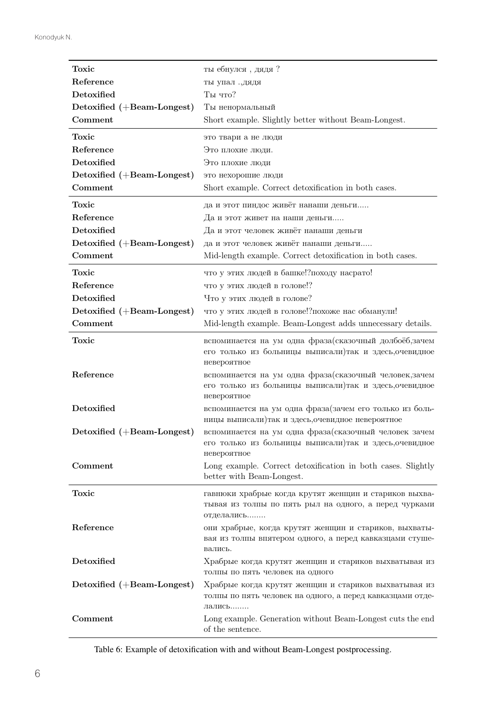| Toxic                      | ты ебнулся, дядя?                                                                                                                 |
|----------------------------|-----------------------------------------------------------------------------------------------------------------------------------|
| Reference                  | ты упал., дядя                                                                                                                    |
| Detoxified                 | Ты что?                                                                                                                           |
| Detoxified (+Beam-Longest) | Ты ненормальный                                                                                                                   |
| Comment                    | Short example. Slightly better without Beam-Longest.                                                                              |
| Toxic                      | это твари а не люди                                                                                                               |
| Reference                  | Это плохие люди.                                                                                                                  |
| Detoxified                 | Это плохие люди                                                                                                                   |
| Detoxified (+Beam-Longest) | это нехорошие люди                                                                                                                |
| Comment                    | Short example. Correct detoxification in both cases.                                                                              |
| Toxic                      | да и этот пиндос живёт нанаши деньги                                                                                              |
| Reference                  | Да и этот живет на наши деньги                                                                                                    |
| Detoxified                 | Да и этот человек живёт нанаши деньги                                                                                             |
| Detoxified (+Beam-Longest) | да и этот человек живёт нанаши деньги                                                                                             |
| Comment                    | Mid-length example. Correct detoxification in both cases.                                                                         |
| Toxic                      | что у этих людей в башке!? походу насрато!                                                                                        |
| Reference                  | что у этих людей в голове!?                                                                                                       |
| Detoxified                 | Что у этих людей в голове?                                                                                                        |
| Detoxified (+Beam-Longest) | что у этих людей в голове!? похоже нас обманули!                                                                                  |
| Comment                    | Mid-length example. Beam-Longest adds unnecessary details.                                                                        |
| Toxic                      | вспоминается на ум одна фраза (сказочный долбоёб, зачем<br>его только из больницы выписали) так и здесь, очевидное<br>невероятное |
| Reference                  | вспоминается на ум одна фраза (сказочный человек, зачем<br>его только из больницы выписали) так и здесь, очевидное<br>невероятное |
| Detoxified                 | вспоминается на ум одна фраза (зачем его только из боль-<br>ницы выписали) так и здесь, очевидное невероятное                     |
| Detoxified (+Beam-Longest) | вспоминается на ум одна фраза (сказочный человек зачем<br>его только из больницы выписали) так и здесь, очевидное<br>невероятное  |
| Comment                    | Long example. Correct detoxification in both cases. Slightly<br>better with Beam-Longest.                                         |
| Toxic                      | гавнюки храбрые когда крутят женщин и стариков выхва-<br>тывая из толпы по пять рыл на одного, а перед чурками<br>отделались      |
| Reference                  | они храбрые, когда крутят женщин и стариков, выхваты-<br>вая из толпы впятером одного, а перед кавказцами стуше-<br>вались.       |
| Detoxified                 | Храбрые когда крутят женщин и стариков выхватывая из<br>толпы по пять человек на одного                                           |
| Detoxified (+Beam-Longest) | Храбрые когда крутят женщин и стариков выхватывая из<br>толпы по пять человек на одного, а перед кавказцами отде-<br>Лались       |
| Comment                    | Long example. Generation without Beam-Longest cuts the end<br>of the sentence.                                                    |

Table 6: Example of detoxification with and without Beam-Longest postprocessing. Table 6: Example of detoxification with and without Beam-Longest postprocessing.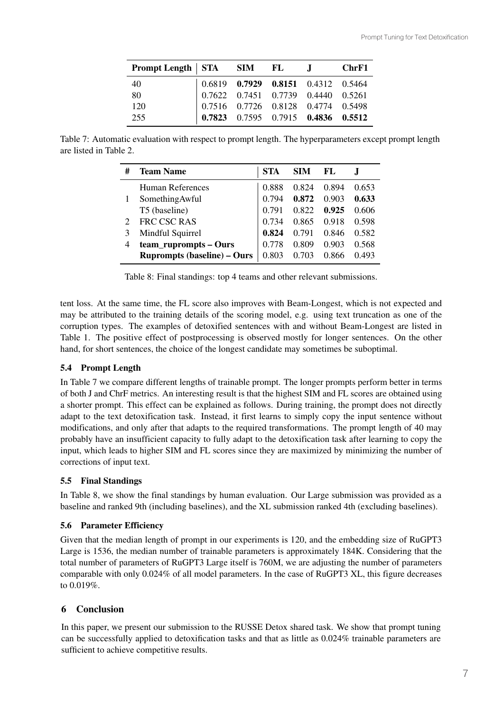| Prompt Length   STA SIM FL J |                                                                                                                                                                                                                                                                    |  | ChrF1 |
|------------------------------|--------------------------------------------------------------------------------------------------------------------------------------------------------------------------------------------------------------------------------------------------------------------|--|-------|
| 40                           | $\begin{array}{ cccc cccc } 0.6819 & {\bf 0.7929} & {\bf 0.8151} & 0.4312 & 0.5464 \\ \hline 0.7622 & 0.7451 & 0.7739 & 0.4440 & 0.5261 \\ 0.7516 & 0.7726 & 0.8128 & 0.4774 & 0.5498 \\ {\bf 0.7823} & 0.7595 & 0.7915 & {\bf 0.4836} & {\bf 0.5512} \end{array}$ |  |       |
| 80                           |                                                                                                                                                                                                                                                                    |  |       |
| 120                          |                                                                                                                                                                                                                                                                    |  |       |
| 255                          |                                                                                                                                                                                                                                                                    |  |       |

Table 7: Automatic evaluation with respect to prompt length. The hyperparameters except prompt length Table 7: Automatic evaluation with respect to prompt length. The hyperparameters except prompt length are listed in Table 2. are listed in Table 2.

| # | <b>Team Name</b>                   | STA   | <b>SIM</b> | FL    |       |
|---|------------------------------------|-------|------------|-------|-------|
|   | Human References                   | 0.888 | 0.824      | 0.894 | 0.653 |
|   | SomethingAwful                     | 0.794 | 0.872      | 0.903 | 0.633 |
|   | T5 (baseline)                      | 0.791 | 0.822      | 0.925 | 0.606 |
|   | FRC CSC RAS                        | 0.734 | 0.865      | 0.918 | 0.598 |
|   | Mindful Squirrel                   | 0.824 | 0.791      | 0.846 | 0.582 |
| 4 | team_ruprompts – Ours              | 0.778 | 0.809      | 0.903 | 0.568 |
|   | <b>Ruprompts (baseline) - Ours</b> | 0.803 | 0.703      | 0.866 | 0.493 |

Table 8: Final standings: top 4 teams and other relevant submissions. Table 8: Final standings: top 4 teams and other relevant submissions.

tent loss. At the same time, the FL score also improves with Beam-Longest, which is not expected and may be attributed to the training details of the scoring model, e.g. using text truncation as one of the may be attributed to the training details of the scoring model, e.g. using text truncation as one of the corruption types. The examples of detoxified sentences with and without Beam-Longest are listed in corruption types. The examples of detoxified sentences with and without Beam-Longest are listed in Table 1. The positive effect of postprocessing is observed mostly for longer sentences. On the other Table 1. The positive effect of postprocessing is observed mostly for longer sentences. On the other hand, for short sentences, the choice of the longest candidate may sometimes be suboptimal. hand, for short sentences, the choice of the longest candidate may sometimes be suboptimal. tent loss. At the same time, the FL score also improves with Beam-Longest, which is not expected and

# 5.4 Prompt Length

 $\frac{1}{2}$ . In Table 7 we compare different lengths of dumable prompt. The longer prompts perform better in terms<br>of both J and ChrF metrics. An interesting result is that the highest SIM and FL scores are obtained using a shorter prompt. This effect can be explained as follows. During training, the prompt does not directly a shorter prompt. This effect can be explained as follows. During training, the prompt does not directly adapt to the text detoxification task. Instead, it first learns to simply copy the input sentence without adapt to the text detoxification task. Instead, it first learns to simply copy the input sentence without modifications, and only after that adapts to the required transformations. The prompt length of 40 may modifications, and only after that adapts to the required transformations. The prompt length of 40 may probably have an insufficient capacity to fully adapt to the detoxification task after learning to copy the probably have an insufficient capacity to fully adapt to the detoxification task after realing to copy the<br>input which loods to higher SIM and EL sooms since they are may imized by minimizing the number of input, which leads to higher SIM and FL scores since they are maximized by minimizing the number of input, which leads to higher SIM and FL scores since they are maximized by minimizing the number of corrections of input text. corrections of input text. In Table 7 we compare different lengths of trainable prompt. The longer prompts perform better in terms

#### 5.5 Final Standings 5.5 Final Standings

In Table 8, we show the final standings  $\theta$  is not the NL submission was provided as a standard as a standard as a standard  $\theta$  is  $\theta$  is not the NL submission was provided as a standard  $\theta$  is  $\theta$  is not the NL subm baseline and ranked 9th (including baselines), and the XL submission ranked 4th (excluding baselines). In Table 8, we show the final standings by human evaluation. Our Large submission was provided as a

#### $\frac{1}{2}$ 5.6 Parameter Efficiency

Given that the median length of prompt in our experiments is 120, and the embedding size of RuGPT3<br>Large is 1536, the median number of trainable parameters is approximately 184K. Considering that the Large is 1536, the median number of trainable parameters is approximately 184K. Considering that the total number of parameters of RuGPT3 Large itself is 760M, we are adjusting the number of parameters total number of parameters of RuGPT3 Large itself is 760M, we are adjusting the number of parameters comparable with only 0.024% of all model parameters. In the case of RuGPT3 XL, this figure decreases<br>to 0.010% to 0.019%. to 0.019%. Given that the median length of prompt in our experiments is 120, and the embedding size of RuGPT3

# 6 Conclusion 6 Conclusion

In this paper, we present our submission to the RUSSE Detox shared task. We show that prompt tuning can be successfully applied to detoxification tasks and that as little as 0.024% trainable parameters are can be successfully applied to detoxification tasks and that as little as 0.024% trainable parameters are sufficient to achieve competitive results. sufficient to achieve competitive results. In this paper, we present our submission to the RUSSE Detox shared task. We show that prompt tuning